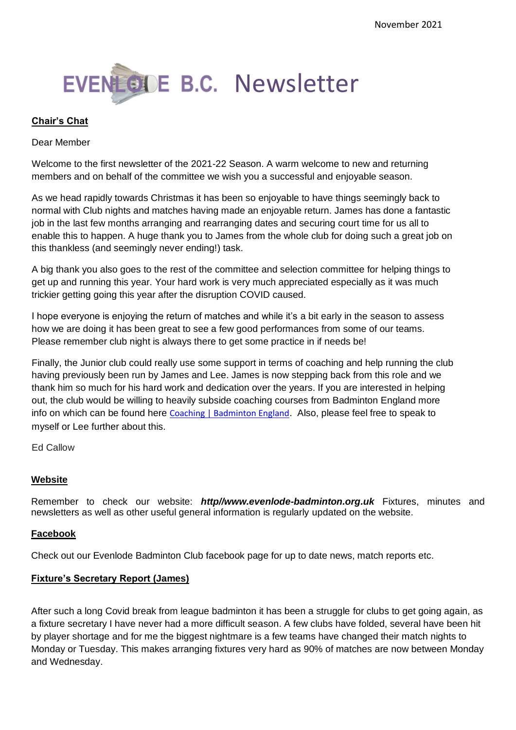

#### **Chair's Chat**

#### Dear Member

Welcome to the first newsletter of the 2021-22 Season. A warm welcome to new and returning members and on behalf of the committee we wish you a successful and enjoyable season.

As we head rapidly towards Christmas it has been so enjoyable to have things seemingly back to normal with Club nights and matches having made an enjoyable return. James has done a fantastic job in the last few months arranging and rearranging dates and securing court time for us all to enable this to happen. A huge thank you to James from the whole club for doing such a great job on this thankless (and seemingly never ending!) task.

A big thank you also goes to the rest of the committee and selection committee for helping things to get up and running this year. Your hard work is very much appreciated especially as it was much trickier getting going this year after the disruption COVID caused.

I hope everyone is enjoying the return of matches and while it's a bit early in the season to assess how we are doing it has been great to see a few good performances from some of our teams. Please remember club night is always there to get some practice in if needs be!

Finally, the Junior club could really use some support in terms of coaching and help running the club having previously been run by James and Lee. James is now stepping back from this role and we thank him so much for his hard work and dedication over the years. If you are interested in helping out, the club would be willing to heavily subside coaching courses from Badminton England more info on which can be found here [Coaching | Badminton England](https://www.badmintonengland.co.uk/on-court/coaching/). Also, please feel free to speak to myself or Lee further about this.

Ed Callow

#### **Website**

Remember to check our website: *http//www.evenlode-badminton.org.uk* Fixtures, minutes and newsletters as well as other useful general information is regularly updated on the website.

#### **Facebook**

Check out our Evenlode Badminton Club facebook page for up to date news, match reports etc.

#### **Fixture's Secretary Report (James)**

After such a long Covid break from league badminton it has been a struggle for clubs to get going again, as a fixture secretary I have never had a more difficult season. A few clubs have folded, several have been hit by player shortage and for me the biggest nightmare is a few teams have changed their match nights to Monday or Tuesday. This makes arranging fixtures very hard as 90% of matches are now between Monday and Wednesday.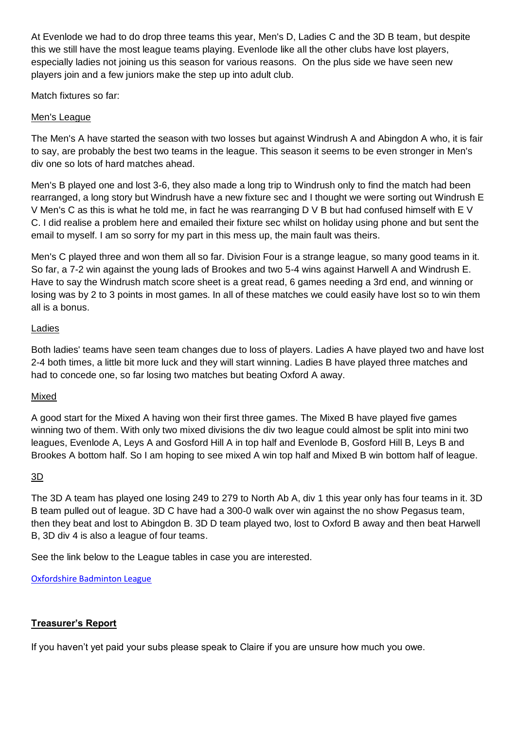At Evenlode we had to do drop three teams this year, Men's D, Ladies C and the 3D B team, but despite this we still have the most league teams playing. Evenlode like all the other clubs have lost players, especially ladies not joining us this season for various reasons. On the plus side we have seen new players join and a few juniors make the step up into adult club.

Match fixtures so far:

# Men's League

The Men's A have started the season with two losses but against Windrush A and Abingdon A who, it is fair to say, are probably the best two teams in the league. This season it seems to be even stronger in Men's div one so lots of hard matches ahead.

Men's B played one and lost 3-6, they also made a long trip to Windrush only to find the match had been rearranged, a long story but Windrush have a new fixture sec and I thought we were sorting out Windrush E V Men's C as this is what he told me, in fact he was rearranging D V B but had confused himself with E V C. I did realise a problem here and emailed their fixture sec whilst on holiday using phone and but sent the email to myself. I am so sorry for my part in this mess up, the main fault was theirs.

Men's C played three and won them all so far. Division Four is a strange league, so many good teams in it. So far, a 7-2 win against the young lads of Brookes and two 5-4 wins against Harwell A and Windrush E. Have to say the Windrush match score sheet is a great read, 6 games needing a 3rd end, and winning or losing was by 2 to 3 points in most games. In all of these matches we could easily have lost so to win them all is a bonus.

# Ladies

Both ladies' teams have seen team changes due to loss of players. Ladies A have played two and have lost 2-4 both times, a little bit more luck and they will start winning. Ladies B have played three matches and had to concede one, so far losing two matches but beating Oxford A away.

# Mixed

A good start for the Mixed A having won their first three games. The Mixed B have played five games winning two of them. With only two mixed divisions the div two league could almost be split into mini two leagues, Evenlode A, Leys A and Gosford Hill A in top half and Evenlode B, Gosford Hill B, Leys B and Brookes A bottom half. So I am hoping to see mixed A win top half and Mixed B win bottom half of league.

# $\underline{3D}$

The 3D A team has played one losing 249 to 279 to North Ab A, div 1 this year only has four teams in it. 3D B team pulled out of league. 3D C have had a 300-0 walk over win against the no show Pegasus team, then they beat and lost to Abingdon B. 3D D team played two, lost to Oxford B away and then beat Harwell B, 3D div 4 is also a league of four teams.

See the link below to the League tables in case you are interested.

[Oxfordshire Badminton League](http://www.oxfordshirebadmintonleague.co.uk/default.aspx)

# **Treasurer's Report**

If you haven't yet paid your subs please speak to Claire if you are unsure how much you owe.